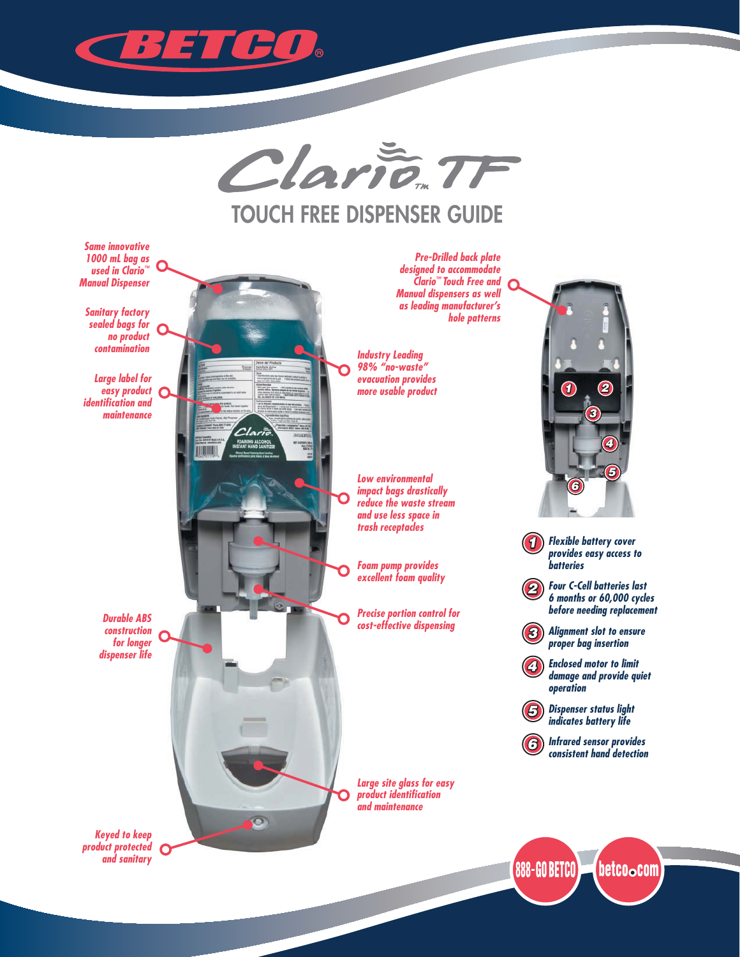



## **TOUCH FREE DISPENSER GUIDE**